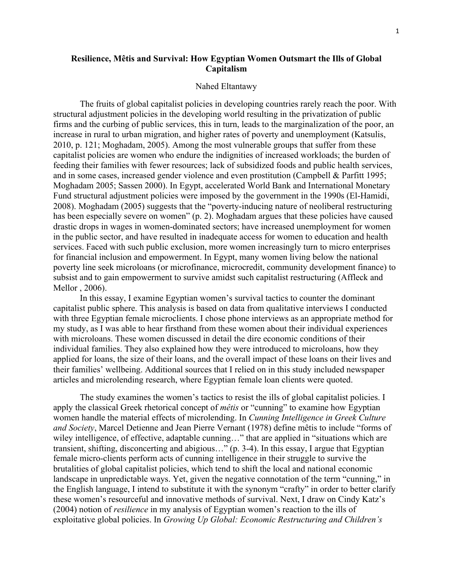# **Resilience, Mêtis and Survival: How Egyptian Women Outsmart the Ills of Global Capitalism**

#### Nahed Eltantawy

The fruits of global capitalist policies in developing countries rarely reach the poor. With structural adjustment policies in the developing world resulting in the privatization of public firms and the curbing of public services, this in turn, leads to the marginalization of the poor, an increase in rural to urban migration, and higher rates of poverty and unemployment (Katsulis, 2010, p. 121; Moghadam, 2005). Among the most vulnerable groups that suffer from these capitalist policies are women who endure the indignities of increased workloads; the burden of feeding their families with fewer resources; lack of subsidized foods and public health services, and in some cases, increased gender violence and even prostitution (Campbell & Parfitt 1995; Moghadam 2005; Sassen 2000). In Egypt, accelerated World Bank and International Monetary Fund structural adjustment policies were imposed by the government in the 1990s (El-Hamidi, 2008). Moghadam (2005) suggests that the "poverty-inducing nature of neoliberal restructuring has been especially severe on women" (p. 2). Moghadam argues that these policies have caused drastic drops in wages in women-dominated sectors; have increased unemployment for women in the public sector, and have resulted in inadequate access for women to education and health services. Faced with such public exclusion, more women increasingly turn to micro enterprises for financial inclusion and empowerment. In Egypt, many women living below the national poverty line seek microloans (or microfinance, microcredit, community development finance) to subsist and to gain empowerment to survive amidst such capitalist restructuring (Affleck and Mellor , 2006).

In this essay, I examine Egyptian women's survival tactics to counter the dominant capitalist public sphere. This analysis is based on data from qualitative interviews I conducted with three Egyptian female microclients. I chose phone interviews as an appropriate method for my study, as I was able to hear firsthand from these women about their individual experiences with microloans. These women discussed in detail the dire economic conditions of their individual families. They also explained how they were introduced to microloans, how they applied for loans, the size of their loans, and the overall impact of these loans on their lives and their families' wellbeing. Additional sources that I relied on in this study included newspaper articles and microlending research, where Egyptian female loan clients were quoted.

The study examines the women's tactics to resist the ills of global capitalist policies. I apply the classical Greek rhetorical concept of *mêtis* or "cunning" to examine how Egyptian women handle the material effects of microlending. In *Cunning Intelligence in Greek Culture and Society*, Marcel Detienne and Jean Pierre Vernant (1978) define mêtis to include "forms of wiley intelligence, of effective, adaptable cunning…" that are applied in "situations which are transient, shifting, disconcerting and abigious…" (p. 3-4). In this essay, I argue that Egyptian female micro-clients perform acts of cunning intelligence in their struggle to survive the brutalities of global capitalist policies, which tend to shift the local and national economic landscape in unpredictable ways. Yet, given the negative connotation of the term "cunning," in the English language, I intend to substitute it with the synonym "crafty" in order to better clarify these women's resourceful and innovative methods of survival. Next, I draw on Cindy Katz's (2004) notion of *resilience* in my analysis of Egyptian women's reaction to the ills of exploitative global policies. In *Growing Up Global: Economic Restructuring and Children's*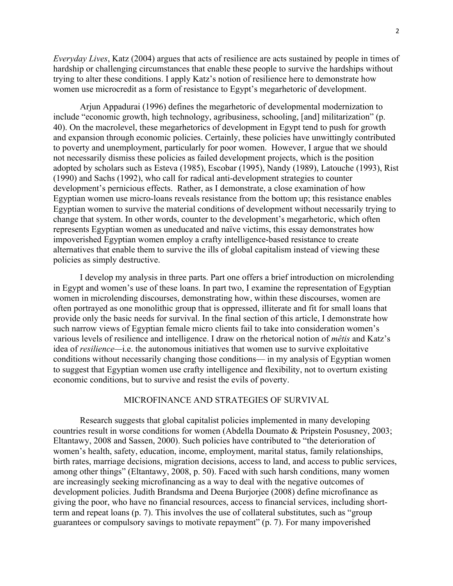*Everyday Lives*, Katz (2004) argues that acts of resilience are acts sustained by people in times of hardship or challenging circumstances that enable these people to survive the hardships without trying to alter these conditions. I apply Katz's notion of resilience here to demonstrate how women use microcredit as a form of resistance to Egypt's megarhetoric of development.

Arjun Appadurai (1996) defines the megarhetoric of developmental modernization to include "economic growth, high technology, agribusiness, schooling, [and] militarization" (p. 40). On the macrolevel, these megarhetorics of development in Egypt tend to push for growth and expansion through economic policies. Certainly, these policies have unwittingly contributed to poverty and unemployment, particularly for poor women. However, I argue that we should not necessarily dismiss these policies as failed development projects, which is the position adopted by scholars such as Esteva (1985), Escobar (1995), Nandy (1989), Latouche (1993), Rist (1990) and Sachs (1992), who call for radical anti-development strategies to counter development's pernicious effects. Rather, as I demonstrate, a close examination of how Egyptian women use micro-loans reveals resistance from the bottom up; this resistance enables Egyptian women to survive the material conditions of development without necessarily trying to change that system. In other words, counter to the development's megarhetoric, which often represents Egyptian women as uneducated and naïve victims, this essay demonstrates how impoverished Egyptian women employ a crafty intelligence-based resistance to create alternatives that enable them to survive the ills of global capitalism instead of viewing these policies as simply destructive.

I develop my analysis in three parts. Part one offers a brief introduction on microlending in Egypt and women's use of these loans. In part two, I examine the representation of Egyptian women in microlending discourses, demonstrating how, within these discourses, women are often portrayed as one monolithic group that is oppressed, illiterate and fit for small loans that provide only the basic needs for survival. In the final section of this article, I demonstrate how such narrow views of Egyptian female micro clients fail to take into consideration women's various levels of resilience and intelligence. I draw on the rhetorical notion of *mêtis* and Katz's idea of *resilience—*i.e. the autonomous initiatives that women use to survive exploitative conditions without necessarily changing those conditions— in my analysis of Egyptian women to suggest that Egyptian women use crafty intelligence and flexibility, not to overturn existing economic conditions, but to survive and resist the evils of poverty.

### MICROFINANCE AND STRATEGIES OF SURVIVAL

Research suggests that global capitalist policies implemented in many developing countries result in worse conditions for women (Abdella Doumato & Pripstein Posusney, 2003; Eltantawy, 2008 and Sassen, 2000). Such policies have contributed to "the deterioration of women's health, safety, education, income, employment, marital status, family relationships, birth rates, marriage decisions, migration decisions, access to land, and access to public services, among other things" (Eltantawy, 2008, p. 50). Faced with such harsh conditions, many women are increasingly seeking microfinancing as a way to deal with the negative outcomes of development policies. Judith Brandsma and Deena Burjorjee (2008) define microfinance as giving the poor, who have no financial resources, access to financial services, including shortterm and repeat loans (p. 7). This involves the use of collateral substitutes, such as "group guarantees or compulsory savings to motivate repayment" (p. 7). For many impoverished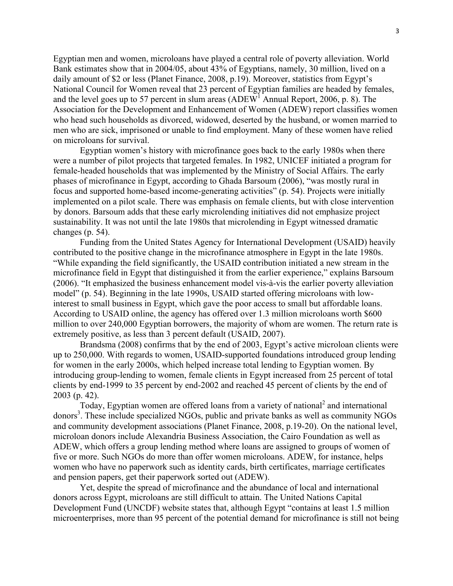Egyptian men and women, microloans have played a central role of poverty alleviation. World Bank estimates show that in 2004/05, about 43% of Egyptians, namely, 30 million, lived on a daily amount of \$2 or less (Planet Finance, 2008, p.19). Moreover, statistics from Egypt's National Council for Women reveal that 23 percent of Egyptian families are headed by females, and the level goes up to 57 percent in slum areas  $(ADEW<sup>1</sup>$  Annual Report, 2006, p. 8). The Association for the Development and Enhancement of Women (ADEW) report classifies women who head such households as divorced, widowed, deserted by the husband, or women married to men who are sick, imprisoned or unable to find employment. Many of these women have relied on microloans for survival.

Egyptian women's history with microfinance goes back to the early 1980s when there were a number of pilot projects that targeted females. In 1982, UNICEF initiated a program for female-headed households that was implemented by the Ministry of Social Affairs. The early phases of microfinance in Egypt, according to Ghada Barsoum (2006), "was mostly rural in focus and supported home-based income-generating activities" (p. 54). Projects were initially implemented on a pilot scale. There was emphasis on female clients, but with close intervention by donors. Barsoum adds that these early microlending initiatives did not emphasize project sustainability. It was not until the late 1980s that microlending in Egypt witnessed dramatic changes (p. 54).

 Funding from the United States Agency for International Development (USAID) heavily contributed to the positive change in the microfinance atmosphere in Egypt in the late 1980s. "While expanding the field significantly, the USAID contribution initiated a new stream in the microfinance field in Egypt that distinguished it from the earlier experience," explains Barsoum (2006). "It emphasized the business enhancement model vis-à-vis the earlier poverty alleviation model" (p. 54). Beginning in the late 1990s, USAID started offering microloans with lowinterest to small business in Egypt, which gave the poor access to small but affordable loans. According to USAID online, the agency has offered over 1.3 million microloans worth \$600 million to over 240,000 Egyptian borrowers, the majority of whom are women. The return rate is extremely positive, as less than 3 percent default (USAID, 2007).

 Brandsma (2008) confirms that by the end of 2003, Egypt's active microloan clients were up to 250,000. With regards to women, USAID-supported foundations introduced group lending for women in the early 2000s, which helped increase total lending to Egyptian women. By introducing group-lending to women, female clients in Egypt increased from 25 percent of total clients by end-1999 to 35 percent by end-2002 and reached 45 percent of clients by the end of 2003 (p. 42).

Today, Egyptian women are offered loans from a variety of national<sup>2</sup> and international donors<sup>3</sup>. These include specialized NGOs, public and private banks as well as community NGOs and community development associations (Planet Finance, 2008, p.19-20). On the national level, microloan donors include Alexandria Business Association, the Cairo Foundation as well as ADEW, which offers a group lending method where loans are assigned to groups of women of five or more. Such NGOs do more than offer women microloans. ADEW, for instance, helps women who have no paperwork such as identity cards, birth certificates, marriage certificates and pension papers, get their paperwork sorted out (ADEW).

Yet, despite the spread of microfinance and the abundance of local and international donors across Egypt, microloans are still difficult to attain. The United Nations Capital Development Fund (UNCDF) website states that, although Egypt "contains at least 1.5 million microenterprises, more than 95 percent of the potential demand for microfinance is still not being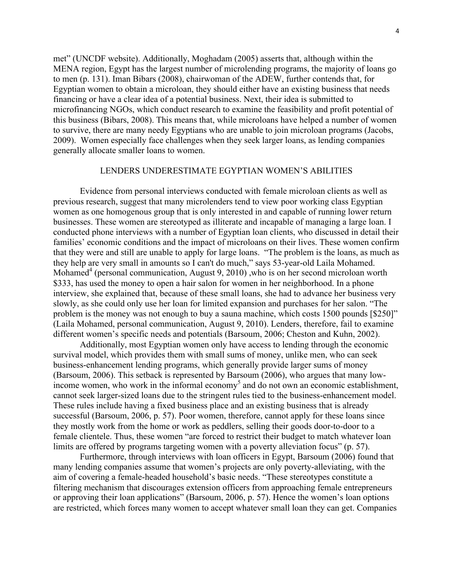met" (UNCDF website). Additionally, Moghadam (2005) asserts that, although within the MENA region, Egypt has the largest number of microlending programs, the majority of loans go to men (p. 131). Iman Bibars (2008), chairwoman of the ADEW, further contends that, for Egyptian women to obtain a microloan, they should either have an existing business that needs financing or have a clear idea of a potential business. Next, their idea is submitted to microfinancing NGOs, which conduct research to examine the feasibility and profit potential of this business (Bibars, 2008). This means that, while microloans have helped a number of women to survive, there are many needy Egyptians who are unable to join microloan programs (Jacobs, 2009). Women especially face challenges when they seek larger loans, as lending companies generally allocate smaller loans to women.

### LENDERS UNDERESTIMATE EGYPTIAN WOMEN'S ABILITIES

Evidence from personal interviews conducted with female microloan clients as well as previous research, suggest that many microlenders tend to view poor working class Egyptian women as one homogenous group that is only interested in and capable of running lower return businesses. These women are stereotyped as illiterate and incapable of managing a large loan. I conducted phone interviews with a number of Egyptian loan clients, who discussed in detail their families' economic conditions and the impact of microloans on their lives. These women confirm that they were and still are unable to apply for large loans. "The problem is the loans, as much as they help are very small in amounts so I can't do much," says 53-year-old Laila Mohamed. Mohamed<sup>4</sup> (personal communication, August 9, 2010), who is on her second microloan worth \$333, has used the money to open a hair salon for women in her neighborhood. In a phone interview, she explained that, because of these small loans, she had to advance her business very slowly, as she could only use her loan for limited expansion and purchases for her salon. "The problem is the money was not enough to buy a sauna machine, which costs 1500 pounds [\$250]" (Laila Mohamed, personal communication, August 9, 2010). Lenders, therefore, fail to examine different women's specific needs and potentials (Barsoum, 2006; Cheston and Kuhn, 2002).

Additionally, most Egyptian women only have access to lending through the economic survival model, which provides them with small sums of money, unlike men, who can seek business-enhancement lending programs, which generally provide larger sums of money (Barsoum, 2006). This setback is represented by Barsoum (2006), who argues that many lowincome women, who work in the informal economy<sup>5</sup> and do not own an economic establishment, cannot seek larger-sized loans due to the stringent rules tied to the business-enhancement model. These rules include having a fixed business place and an existing business that is already successful (Barsoum, 2006, p. 57). Poor women, therefore, cannot apply for these loans since they mostly work from the home or work as peddlers, selling their goods door-to-door to a female clientele. Thus, these women "are forced to restrict their budget to match whatever loan limits are offered by programs targeting women with a poverty alleviation focus" (p. 57).

Furthermore, through interviews with loan officers in Egypt, Barsoum (2006) found that many lending companies assume that women's projects are only poverty-alleviating, with the aim of covering a female-headed household's basic needs. "These stereotypes constitute a filtering mechanism that discourages extension officers from approaching female entrepreneurs or approving their loan applications" (Barsoum, 2006, p. 57). Hence the women's loan options are restricted, which forces many women to accept whatever small loan they can get. Companies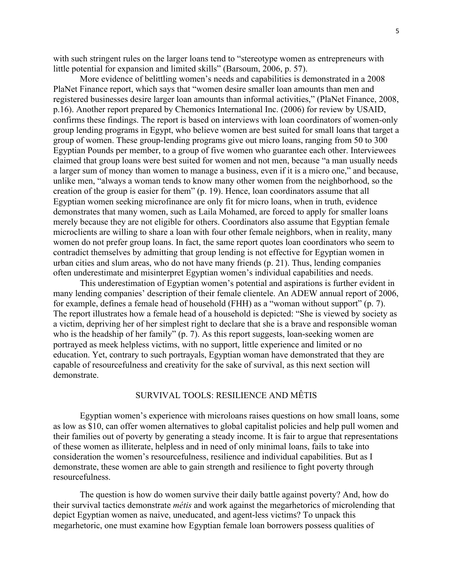with such stringent rules on the larger loans tend to "stereotype women as entrepreneurs with little potential for expansion and limited skills" (Barsoum, 2006, p. 57).

More evidence of belittling women's needs and capabilities is demonstrated in a 2008 PlaNet Finance report, which says that "women desire smaller loan amounts than men and registered businesses desire larger loan amounts than informal activities," (PlaNet Finance, 2008, p.16). Another report prepared by Chemonics International Inc. (2006) for review by USAID, confirms these findings. The report is based on interviews with loan coordinators of women-only group lending programs in Egypt, who believe women are best suited for small loans that target a group of women. These group-lending programs give out micro loans, ranging from 50 to 300 Egyptian Pounds per member, to a group of five women who guarantee each other. Interviewees claimed that group loans were best suited for women and not men, because "a man usually needs a larger sum of money than women to manage a business, even if it is a micro one," and because, unlike men, "always a woman tends to know many other women from the neighborhood, so the creation of the group is easier for them" (p. 19). Hence, loan coordinators assume that all Egyptian women seeking microfinance are only fit for micro loans, when in truth, evidence demonstrates that many women, such as Laila Mohamed, are forced to apply for smaller loans merely because they are not eligible for others. Coordinators also assume that Egyptian female microclients are willing to share a loan with four other female neighbors, when in reality, many women do not prefer group loans. In fact, the same report quotes loan coordinators who seem to contradict themselves by admitting that group lending is not effective for Egyptian women in urban cities and slum areas, who do not have many friends (p. 21). Thus, lending companies often underestimate and misinterpret Egyptian women's individual capabilities and needs.

This underestimation of Egyptian women's potential and aspirations is further evident in many lending companies' description of their female clientele. An ADEW annual report of 2006, for example, defines a female head of household (FHH) as a "woman without support" (p. 7). The report illustrates how a female head of a household is depicted: "She is viewed by society as a victim, depriving her of her simplest right to declare that she is a brave and responsible woman who is the headship of her family" (p. 7). As this report suggests, loan-seeking women are portrayed as meek helpless victims, with no support, little experience and limited or no education. Yet, contrary to such portrayals, Egyptian woman have demonstrated that they are capable of resourcefulness and creativity for the sake of survival, as this next section will demonstrate.

# SURVIVAL TOOLS: RESILIENCE AND MÊTIS

Egyptian women's experience with microloans raises questions on how small loans, some as low as \$10, can offer women alternatives to global capitalist policies and help pull women and their families out of poverty by generating a steady income. It is fair to argue that representations of these women as illiterate, helpless and in need of only minimal loans, fails to take into consideration the women's resourcefulness, resilience and individual capabilities. But as I demonstrate, these women are able to gain strength and resilience to fight poverty through resourcefulness.

The question is how do women survive their daily battle against poverty? And, how do their survival tactics demonstrate *métis* and work against the megarhetorics of microlending that depict Egyptian women as naive, uneducated, and agent-less victims? To unpack this megarhetoric, one must examine how Egyptian female loan borrowers possess qualities of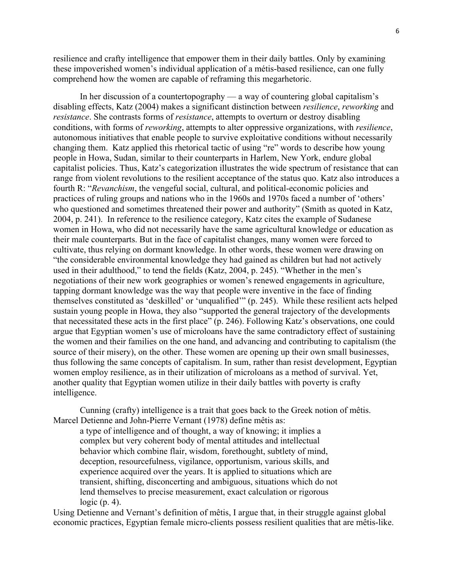resilience and crafty intelligence that empower them in their daily battles. Only by examining these impoverished women's individual application of a métis-based resilience, can one fully comprehend how the women are capable of reframing this megarhetoric.

In her discussion of a countertopography — a way of countering global capitalism's disabling effects, Katz (2004) makes a significant distinction between *resilience*, *reworking* and *resistance*. She contrasts forms of *resistance*, attempts to overturn or destroy disabling conditions, with forms of *reworking*, attempts to alter oppressive organizations, with *resilience*, autonomous initiatives that enable people to survive exploitative conditions without necessarily changing them. Katz applied this rhetorical tactic of using "re" words to describe how young people in Howa, Sudan, similar to their counterparts in Harlem, New York, endure global capitalist policies. Thus, Katz's categorization illustrates the wide spectrum of resistance that can range from violent revolutions to the resilient acceptance of the status quo. Katz also introduces a fourth R: "*Revanchism*, the vengeful social, cultural, and political-economic policies and practices of ruling groups and nations who in the 1960s and 1970s faced a number of 'others' who questioned and sometimes threatened their power and authority" (Smith as quoted in Katz, 2004, p. 241). In reference to the resilience category, Katz cites the example of Sudanese women in Howa, who did not necessarily have the same agricultural knowledge or education as their male counterparts. But in the face of capitalist changes, many women were forced to cultivate, thus relying on dormant knowledge. In other words, these women were drawing on "the considerable environmental knowledge they had gained as children but had not actively used in their adulthood," to tend the fields (Katz, 2004, p. 245). "Whether in the men's negotiations of their new work geographies or women's renewed engagements in agriculture, tapping dormant knowledge was the way that people were inventive in the face of finding themselves constituted as 'deskilled' or 'unqualified'" (p. 245). While these resilient acts helped sustain young people in Howa, they also "supported the general trajectory of the developments that necessitated these acts in the first place" (p. 246). Following Katz's observations, one could argue that Egyptian women's use of microloans have the same contradictory effect of sustaining the women and their families on the one hand, and advancing and contributing to capitalism (the source of their misery), on the other. These women are opening up their own small businesses, thus following the same concepts of capitalism. In sum, rather than resist development, Egyptian women employ resilience, as in their utilization of microloans as a method of survival. Yet, another quality that Egyptian women utilize in their daily battles with poverty is crafty intelligence.

Cunning (crafty) intelligence is a trait that goes back to the Greek notion of mêtis. Marcel Detienne and John-Pierre Vernant (1978) define mêtis as:

a type of intelligence and of thought, a way of knowing; it implies a complex but very coherent body of mental attitudes and intellectual behavior which combine flair, wisdom, forethought, subtlety of mind, deception, resourcefulness, vigilance, opportunism, various skills, and experience acquired over the years. It is applied to situations which are transient, shifting, disconcerting and ambiguous, situations which do not lend themselves to precise measurement, exact calculation or rigorous logic (p. 4).

Using Detienne and Vernant's definition of mêtis, I argue that, in their struggle against global economic practices, Egyptian female micro-clients possess resilient qualities that are mêtis-like.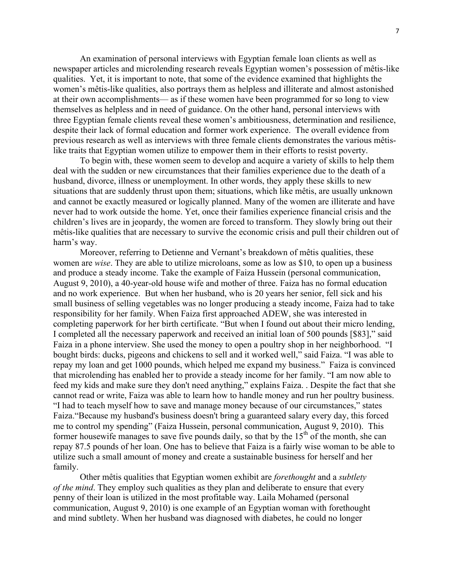An examination of personal interviews with Egyptian female loan clients as well as newspaper articles and microlending research reveals Egyptian women's possession of mêtis-like qualities. Yet, it is important to note, that some of the evidence examined that highlights the women's mêtis-like qualities, also portrays them as helpless and illiterate and almost astonished at their own accomplishments— as if these women have been programmed for so long to view themselves as helpless and in need of guidance. On the other hand, personal interviews with three Egyptian female clients reveal these women's ambitiousness, determination and resilience, despite their lack of formal education and former work experience. The overall evidence from previous research as well as interviews with three female clients demonstrates the various mêtislike traits that Egyptian women utilize to empower them in their efforts to resist poverty.

To begin with, these women seem to develop and acquire a variety of skills to help them deal with the sudden or new circumstances that their families experience due to the death of a husband, divorce, illness or unemployment. In other words, they apply these skills to new situations that are suddenly thrust upon them; situations, which like mêtis, are usually unknown and cannot be exactly measured or logically planned. Many of the women are illiterate and have never had to work outside the home. Yet, once their families experience financial crisis and the children's lives are in jeopardy, the women are forced to transform. They slowly bring out their mêtis-like qualities that are necessary to survive the economic crisis and pull their children out of harm's way.

Moreover, referring to Detienne and Vernant's breakdown of mêtis qualities, these women are *wise*. They are able to utilize microloans, some as low as \$10, to open up a business and produce a steady income. Take the example of Faiza Hussein (personal communication, August 9, 2010), a 40-year-old house wife and mother of three. Faiza has no formal education and no work experience. But when her husband, who is 20 years her senior, fell sick and his small business of selling vegetables was no longer producing a steady income, Faiza had to take responsibility for her family. When Faiza first approached ADEW, she was interested in completing paperwork for her birth certificate. "But when I found out about their micro lending, I completed all the necessary paperwork and received an initial loan of 500 pounds [\$83]," said Faiza in a phone interview. She used the money to open a poultry shop in her neighborhood. "I bought birds: ducks, pigeons and chickens to sell and it worked well," said Faiza. "I was able to repay my loan and get 1000 pounds, which helped me expand my business." Faiza is convinced that microlending has enabled her to provide a steady income for her family. "I am now able to feed my kids and make sure they don't need anything," explains Faiza. . Despite the fact that she cannot read or write, Faiza was able to learn how to handle money and run her poultry business. "I had to teach myself how to save and manage money because of our circumstances," states Faiza."Because my husband's business doesn't bring a guaranteed salary every day, this forced me to control my spending" (Faiza Hussein, personal communication, August 9, 2010). This former housewife manages to save five pounds daily, so that by the  $15<sup>th</sup>$  of the month, she can repay 87.5 pounds of her loan. One has to believe that Faiza is a fairly wise woman to be able to utilize such a small amount of money and create a sustainable business for herself and her family.

Other mêtis qualities that Egyptian women exhibit are *forethought* and a *subtlety of the mind*. They employ such qualities as they plan and deliberate to ensure that every penny of their loan is utilized in the most profitable way. Laila Mohamed (personal communication, August 9, 2010) is one example of an Egyptian woman with forethought and mind subtlety. When her husband was diagnosed with diabetes, he could no longer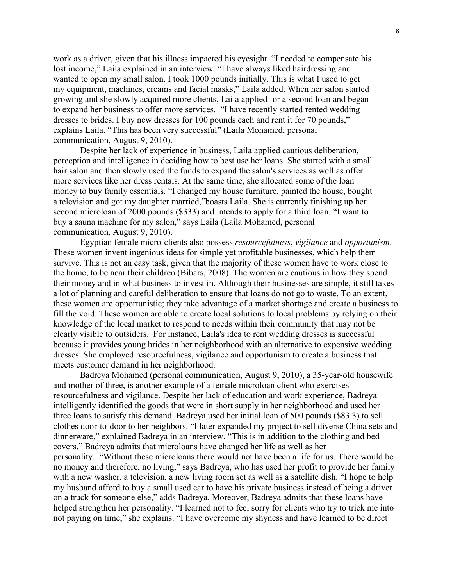work as a driver, given that his illness impacted his eyesight. "I needed to compensate his lost income," Laila explained in an interview. "I have always liked hairdressing and wanted to open my small salon. I took 1000 pounds initially. This is what I used to get my equipment, machines, creams and facial masks," Laila added. When her salon started growing and she slowly acquired more clients, Laila applied for a second loan and began to expand her business to offer more services. "I have recently started rented wedding dresses to brides. I buy new dresses for 100 pounds each and rent it for 70 pounds," explains Laila. "This has been very successful" (Laila Mohamed, personal communication, August 9, 2010).

Despite her lack of experience in business, Laila applied cautious deliberation, perception and intelligence in deciding how to best use her loans. She started with a small hair salon and then slowly used the funds to expand the salon's services as well as offer more services like her dress rentals. At the same time, she allocated some of the loan money to buy family essentials. "I changed my house furniture, painted the house, bought a television and got my daughter married,"boasts Laila. She is currently finishing up her second microloan of 2000 pounds (\$333) and intends to apply for a third loan. "I want to buy a sauna machine for my salon," says Laila (Laila Mohamed, personal communication, August 9, 2010).

Egyptian female micro-clients also possess *resourcefulness*, *vigilance* and *opportunism*. These women invent ingenious ideas for simple yet profitable businesses, which help them survive. This is not an easy task, given that the majority of these women have to work close to the home, to be near their children (Bibars, 2008). The women are cautious in how they spend their money and in what business to invest in. Although their businesses are simple, it still takes a lot of planning and careful deliberation to ensure that loans do not go to waste. To an extent, these women are opportunistic; they take advantage of a market shortage and create a business to fill the void. These women are able to create local solutions to local problems by relying on their knowledge of the local market to respond to needs within their community that may not be clearly visible to outsiders. For instance, Laila's idea to rent wedding dresses is successful because it provides young brides in her neighborhood with an alternative to expensive wedding dresses. She employed resourcefulness, vigilance and opportunism to create a business that meets customer demand in her neighborhood.

Badreya Mohamed (personal communication, August 9, 2010), a 35-year-old housewife and mother of three, is another example of a female microloan client who exercises resourcefulness and vigilance. Despite her lack of education and work experience, Badreya intelligently identified the goods that were in short supply in her neighborhood and used her three loans to satisfy this demand. Badreya used her initial loan of 500 pounds (\$83.3) to sell clothes door-to-door to her neighbors. "I later expanded my project to sell diverse China sets and dinnerware," explained Badreya in an interview. "This is in addition to the clothing and bed covers." Badreya admits that microloans have changed her life as well as her personality. "Without these microloans there would not have been a life for us. There would be no money and therefore, no living," says Badreya, who has used her profit to provide her family with a new washer, a television, a new living room set as well as a satellite dish. "I hope to help my husband afford to buy a small used car to have his private business instead of being a driver on a truck for someone else," adds Badreya. Moreover, Badreya admits that these loans have helped strengthen her personality. "I learned not to feel sorry for clients who try to trick me into not paying on time," she explains. "I have overcome my shyness and have learned to be direct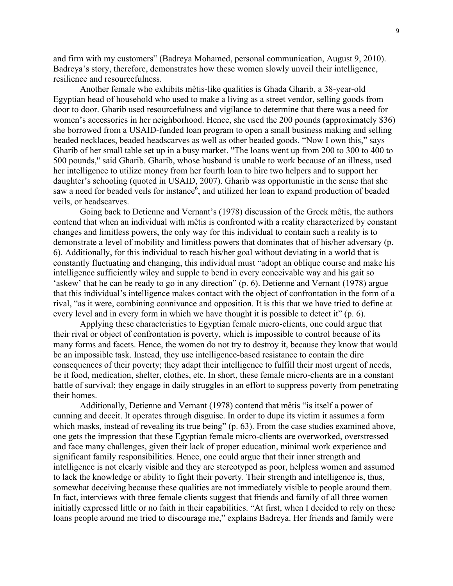and firm with my customers" (Badreya Mohamed, personal communication, August 9, 2010). Badreya's story, therefore, demonstrates how these women slowly unveil their intelligence, resilience and resourcefulness.

 Another female who exhibits mêtis-like qualities is Ghada Gharib, a 38-year-old Egyptian head of household who used to make a living as a street vendor, selling goods from door to door. Gharib used resourcefulness and vigilance to determine that there was a need for women's accessories in her neighborhood. Hence, she used the 200 pounds (approximately \$36) she borrowed from a USAID-funded loan program to open a small business making and selling beaded necklaces, beaded headscarves as well as other beaded goods. "Now I own this," says Gharib of her small table set up in a busy market. "The loans went up from 200 to 300 to 400 to 500 pounds," said Gharib. Gharib, whose husband is unable to work because of an illness, used her intelligence to utilize money from her fourth loan to hire two helpers and to support her daughter's schooling (quoted in USAID, 2007). Gharib was opportunistic in the sense that she saw a need for beaded veils for instance, and utilized her loan to expand production of beaded veils, or headscarves.

Going back to Detienne and Vernant's (1978) discussion of the Greek mêtis, the authors contend that when an individual with mêtis is confronted with a reality characterized by constant changes and limitless powers, the only way for this individual to contain such a reality is to demonstrate a level of mobility and limitless powers that dominates that of his/her adversary (p. 6). Additionally, for this individual to reach his/her goal without deviating in a world that is constantly fluctuating and changing, this individual must "adopt an oblique course and make his intelligence sufficiently wiley and supple to bend in every conceivable way and his gait so 'askew' that he can be ready to go in any direction" (p. 6). Detienne and Vernant (1978) argue that this individual's intelligence makes contact with the object of confrontation in the form of a rival, "as it were, combining connivance and opposition. It is this that we have tried to define at every level and in every form in which we have thought it is possible to detect it" (p. 6).

Applying these characteristics to Egyptian female micro-clients, one could argue that their rival or object of confrontation is poverty, which is impossible to control because of its many forms and facets. Hence, the women do not try to destroy it, because they know that would be an impossible task. Instead, they use intelligence-based resistance to contain the dire consequences of their poverty; they adapt their intelligence to fulfill their most urgent of needs, be it food, medication, shelter, clothes, etc. In short, these female micro-clients are in a constant battle of survival; they engage in daily struggles in an effort to suppress poverty from penetrating their homes.

Additionally, Detienne and Vernant (1978) contend that mêtis "is itself a power of cunning and deceit. It operates through disguise. In order to dupe its victim it assumes a form which masks, instead of revealing its true being" (p. 63). From the case studies examined above, one gets the impression that these Egyptian female micro-clients are overworked, overstressed and face many challenges, given their lack of proper education, minimal work experience and significant family responsibilities. Hence, one could argue that their inner strength and intelligence is not clearly visible and they are stereotyped as poor, helpless women and assumed to lack the knowledge or ability to fight their poverty. Their strength and intelligence is, thus, somewhat deceiving because these qualities are not immediately visible to people around them. In fact, interviews with three female clients suggest that friends and family of all three women initially expressed little or no faith in their capabilities. "At first, when I decided to rely on these loans people around me tried to discourage me," explains Badreya. Her friends and family were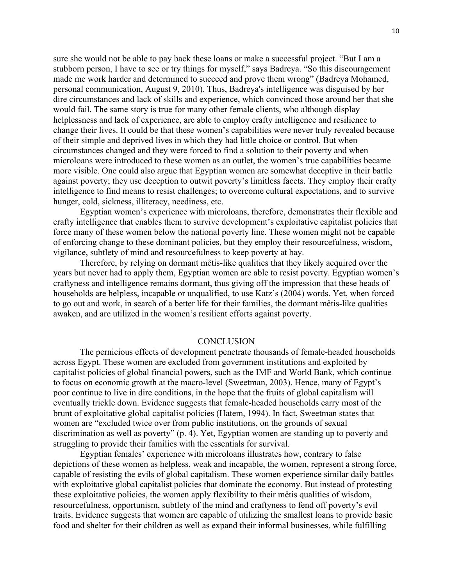sure she would not be able to pay back these loans or make a successful project. "But I am a stubborn person, I have to see or try things for myself," says Badreya. "So this discouragement made me work harder and determined to succeed and prove them wrong" (Badreya Mohamed, personal communication, August 9, 2010). Thus, Badreya's intelligence was disguised by her dire circumstances and lack of skills and experience, which convinced those around her that she would fail. The same story is true for many other female clients, who although display helplessness and lack of experience, are able to employ crafty intelligence and resilience to change their lives. It could be that these women's capabilities were never truly revealed because of their simple and deprived lives in which they had little choice or control. But when circumstances changed and they were forced to find a solution to their poverty and when microloans were introduced to these women as an outlet, the women's true capabilities became more visible. One could also argue that Egyptian women are somewhat deceptive in their battle against poverty; they use deception to outwit poverty's limitless facets. They employ their crafty intelligence to find means to resist challenges; to overcome cultural expectations, and to survive hunger, cold, sickness, illiteracy, neediness, etc.

Egyptian women's experience with microloans, therefore, demonstrates their flexible and crafty intelligence that enables them to survive development's exploitative capitalist policies that force many of these women below the national poverty line. These women might not be capable of enforcing change to these dominant policies, but they employ their resourcefulness, wisdom, vigilance, subtlety of mind and resourcefulness to keep poverty at bay.

Therefore, by relying on dormant mêtis-like qualities that they likely acquired over the years but never had to apply them, Egyptian women are able to resist poverty. Egyptian women's craftyness and intelligence remains dormant, thus giving off the impression that these heads of households are helpless, incapable or unqualified, to use Katz's (2004) words. Yet, when forced to go out and work, in search of a better life for their families, the dormant mêtis-like qualities awaken, and are utilized in the women's resilient efforts against poverty.

#### **CONCLUSION**

 The pernicious effects of development penetrate thousands of female-headed households across Egypt. These women are excluded from government institutions and exploited by capitalist policies of global financial powers, such as the IMF and World Bank, which continue to focus on economic growth at the macro-level (Sweetman, 2003). Hence, many of Egypt's poor continue to live in dire conditions, in the hope that the fruits of global capitalism will eventually trickle down. Evidence suggests that female-headed households carry most of the brunt of exploitative global capitalist policies (Hatem, 1994). In fact, Sweetman states that women are "excluded twice over from public institutions, on the grounds of sexual discrimination as well as poverty" (p. 4). Yet, Egyptian women are standing up to poverty and struggling to provide their families with the essentials for survival.

 Egyptian females' experience with microloans illustrates how, contrary to false depictions of these women as helpless, weak and incapable, the women, represent a strong force, capable of resisting the evils of global capitalism. These women experience similar daily battles with exploitative global capitalist policies that dominate the economy. But instead of protesting these exploitative policies, the women apply flexibility to their mêtis qualities of wisdom, resourcefulness, opportunism, subtlety of the mind and craftyness to fend off poverty's evil traits. Evidence suggests that women are capable of utilizing the smallest loans to provide basic food and shelter for their children as well as expand their informal businesses, while fulfilling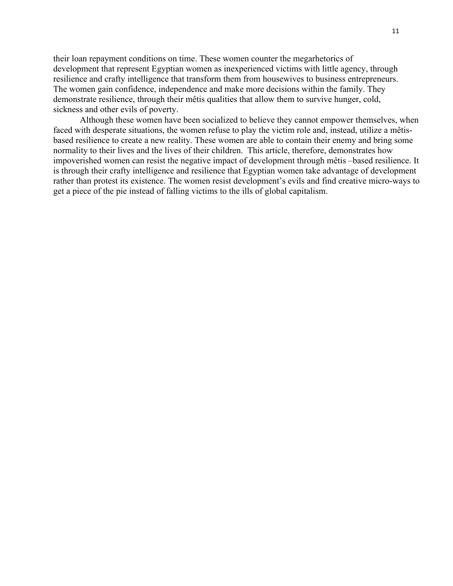their loan repayment conditions on time. These women counter the megarhetorics of development that represent Egyptian women as inexperienced victims with little agency, through resilience and crafty intelligence that transform them from housewives to business entrepreneurs. The women gain confidence, independence and make more decisions within the family. They demonstrate resilience, through their mêtis qualities that allow them to survive hunger, cold, sickness and other evils of poverty.

 Although these women have been socialized to believe they cannot empower themselves, when faced with desperate situations, the women refuse to play the victim role and, instead, utilize a mêtisbased resilience to create a new reality. These women are able to contain their enemy and bring some normality to their lives and the lives of their children. This article, therefore, demonstrates how impoverished women can resist the negative impact of development through mêtis –based resilience. It is through their crafty intelligence and resilience that Egyptian women take advantage of development rather than protest its existence. The women resist development's evils and find creative micro-ways to get a piece of the pie instead of falling victims to the ills of global capitalism.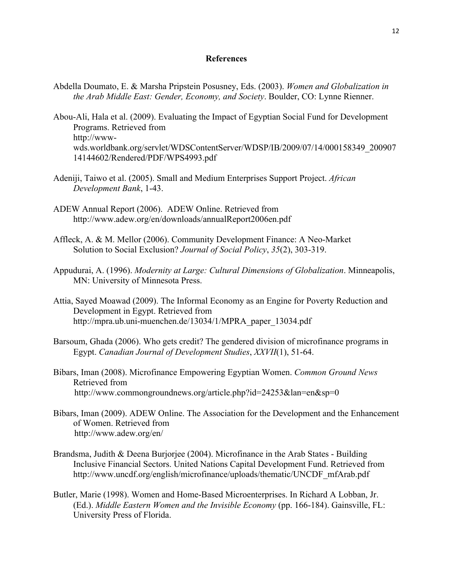#### **References**

- Abdella Doumato, E. & Marsha Pripstein Posusney, Eds. (2003). *Women and Globalization in the Arab Middle East: Gender, Economy, and Society*. Boulder, CO: Lynne Rienner.
- Abou-Ali, Hala et al. (2009). Evaluating the Impact of Egyptian Social Fund for Development Programs. Retrieved from http://wwwwds.worldbank.org/servlet/WDSContentServer/WDSP/IB/2009/07/14/000158349\_200907 14144602/Rendered/PDF/WPS4993.pdf
- Adeniji, Taiwo et al. (2005). Small and Medium Enterprises Support Project. *African Development Bank*, 1-43.
- ADEW Annual Report (2006). ADEW Online. Retrieved from http://www.adew.org/en/downloads/annualReport2006en.pdf
- Affleck, A. & M. Mellor (2006). Community Development Finance: A Neo-Market Solution to Social Exclusion? *Journal of Social Policy*, *35*(2), 303-319.
- Appudurai, A. (1996). *Modernity at Large: Cultural Dimensions of Globalization*. Minneapolis, MN: University of Minnesota Press.
- Attia, Sayed Moawad (2009). The Informal Economy as an Engine for Poverty Reduction and Development in Egypt. Retrieved from http://mpra.ub.uni-muenchen.de/13034/1/MPRA\_paper\_13034.pdf
- Barsoum, Ghada (2006). Who gets credit? The gendered division of microfinance programs in Egypt. *Canadian Journal of Development Studies*, *XXVII*(1), 51-64.
- Bibars, Iman (2008). Microfinance Empowering Egyptian Women. *Common Ground News* Retrieved from http://www.commongroundnews.org/article.php?id=24253&lan=en&sp=0
- Bibars, Iman (2009). ADEW Online. The Association for the Development and the Enhancement of Women. Retrieved from http://www.adew.org/en/
- Brandsma, Judith & Deena Burjorjee (2004). Microfinance in the Arab States Building Inclusive Financial Sectors. United Nations Capital Development Fund. Retrieved from http://www.uncdf.org/english/microfinance/uploads/thematic/UNCDF\_mfArab.pdf
- Butler, Marie (1998). Women and Home-Based Microenterprises. In Richard A Lobban, Jr. (Ed.). *Middle Eastern Women and the Invisible Economy* (pp. 166-184). Gainsville, FL: University Press of Florida.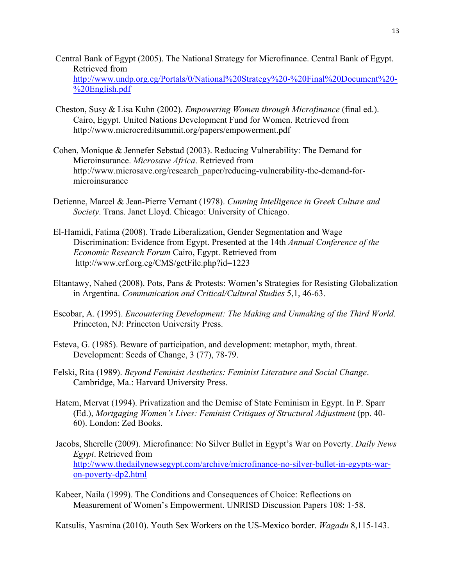- Central Bank of Egypt (2005). The National Strategy for Microfinance. Central Bank of Egypt. Retrieved from http://www.undp.org.eg/Portals/0/National%20Strategy%20-%20Final%20Document%20- %20English.pdf
- Cheston, Susy & Lisa Kuhn (2002). *Empowering Women through Microfinance* (final ed.). Cairo, Egypt. United Nations Development Fund for Women. Retrieved from http://www.microcreditsummit.org/papers/empowerment.pdf
- Cohen, Monique & Jennefer Sebstad (2003). Reducing Vulnerability: The Demand for Microinsurance. *Microsave Africa*. Retrieved from http://www.microsave.org/research\_paper/reducing-vulnerability-the-demand-formicroinsurance
- Detienne, Marcel & Jean-Pierre Vernant (1978). *Cunning Intelligence in Greek Culture and Society*. Trans. Janet Lloyd. Chicago: University of Chicago.
- El-Hamidi, Fatima (2008). Trade Liberalization, Gender Segmentation and Wage Discrimination: Evidence from Egypt. Presented at the 14th *Annual Conference of the Economic Research Forum* Cairo, Egypt. Retrieved from http://www.erf.org.eg/CMS/getFile.php?id=1223
- Eltantawy, Nahed (2008). Pots, Pans & Protests: Women's Strategies for Resisting Globalization in Argentina. *Communication and Critical/Cultural Studies* 5,1, 46-63.
- Escobar, A. (1995). *Encountering Development: The Making and Unmaking of the Third World.* Princeton, NJ: Princeton University Press.
- Esteva, G. (1985). Beware of participation, and development: metaphor, myth, threat. Development: Seeds of Change, 3 (77), 78-79.
- Felski, Rita (1989). *Beyond Feminist Aesthetics: Feminist Literature and Social Change*. Cambridge, Ma.: Harvard University Press.
- Hatem, Mervat (1994). Privatization and the Demise of State Feminism in Egypt. In P. Sparr (Ed.), *Mortgaging Women's Lives: Feminist Critiques of Structural Adjustment* (pp. 40- 60). London: Zed Books.
- Jacobs, Sherelle (2009). Microfinance: No Silver Bullet in Egypt's War on Poverty. *Daily News Egypt*. Retrieved from http://www.thedailynewsegypt.com/archive/microfinance-no-silver-bullet-in-egypts-waron-poverty-dp2.html
- Kabeer, Naila (1999). The Conditions and Consequences of Choice: Reflections on Measurement of Women's Empowerment. UNRISD Discussion Papers 108: 1-58.

Katsulis, Yasmina (2010). Youth Sex Workers on the US-Mexico border. *Wagadu* 8,115-143.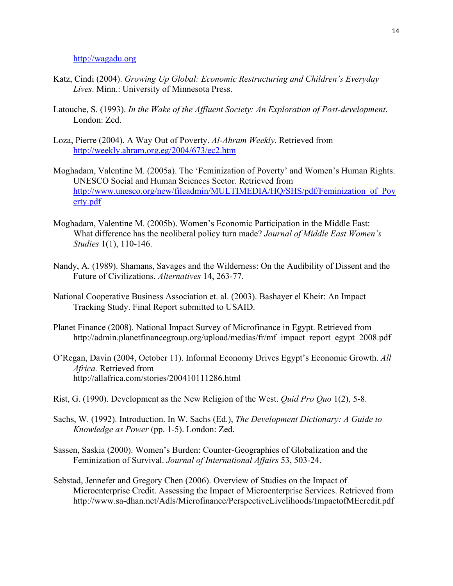http://wagadu.org

- Katz, Cindi (2004). *Growing Up Global: Economic Restructuring and Children's Everyday Lives*. Minn.: University of Minnesota Press.
- Latouche, S. (1993). *In the Wake of the Affluent Society: An Exploration of Post-development*. London: Zed.
- Loza, Pierre (2004). A Way Out of Poverty. *Al-Ahram Weekly*. Retrieved from http://weekly.ahram.org.eg/2004/673/ec2.htm
- Moghadam, Valentine M. (2005a). The 'Feminization of Poverty' and Women's Human Rights. UNESCO Social and Human Sciences Sector. Retrieved from http://www.unesco.org/new/fileadmin/MULTIMEDIA/HQ/SHS/pdf/Feminization\_of\_Pov erty.pdf
- Moghadam, Valentine M. (2005b). Women's Economic Participation in the Middle East: What difference has the neoliberal policy turn made? *Journal of Middle East Women's Studies* 1(1), 110-146.
- Nandy, A. (1989). Shamans, Savages and the Wilderness: On the Audibility of Dissent and the Future of Civilizations. *Alternatives* 14, 263-77.
- National Cooperative Business Association et. al. (2003). Bashayer el Kheir: An Impact Tracking Study. Final Report submitted to USAID.
- Planet Finance (2008). National Impact Survey of Microfinance in Egypt. Retrieved from http://admin.planetfinancegroup.org/upload/medias/fr/mf\_impact\_report\_egypt\_2008.pdf
- O'Regan, Davin (2004, October 11). Informal Economy Drives Egypt's Economic Growth. *All Africa.* Retrieved from http://allafrica.com/stories/200410111286.html
- Rist, G. (1990). Development as the New Religion of the West. *Quid Pro Quo* 1(2), 5-8.
- Sachs, W. (1992). Introduction. In W. Sachs (Ed.), *The Development Dictionary: A Guide to Knowledge as Power* (pp. 1-5). London: Zed.
- Sassen, Saskia (2000). Women's Burden: Counter-Geographies of Globalization and the Feminization of Survival. *Journal of International Affairs* 53, 503-24.
- Sebstad, Jennefer and Gregory Chen (2006). Overview of Studies on the Impact of Microenterprise Credit. Assessing the Impact of Microenterprise Services. Retrieved from http://www.sa-dhan.net/Adls/Microfinance/PerspectiveLivelihoods/ImpactofMEcredit.pdf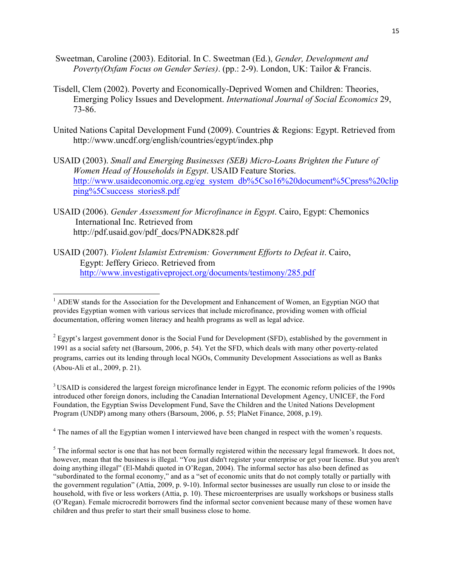- Sweetman, Caroline (2003). Editorial. In C. Sweetman (Ed.), *Gender, Development and Poverty(Oxfam Focus on Gender Series)*. (pp.: 2-9). London, UK: Tailor & Francis.
- Tisdell, Clem (2002). Poverty and Economically-Deprived Women and Children: Theories, Emerging Policy Issues and Development. *International Journal of Social Economics* 29, 73-86.
- United Nations Capital Development Fund (2009). Countries & Regions: Egypt. Retrieved from http://www.uncdf.org/english/countries/egypt/index.php
- USAID (2003). *Small and Emerging Businesses (SEB) Micro-Loans Brighten the Future of Women Head of Households in Egypt*. USAID Feature Stories. http://www.usaideconomic.org.eg/eg\_system\_db%5Cso16%20document%5Cpress%20clip ping%5Csuccess\_stories8.pdf
- USAID (2006). *Gender Assessment for Microfinance in Egypt*. Cairo, Egypt: Chemonics International Inc. Retrieved from http://pdf.usaid.gov/pdf\_docs/PNADK828.pdf
- USAID (2007). *Violent Islamist Extremism: Government Efforts to Defeat it*. Cairo, Egypt: Jeffery Grieco. Retrieved from http://www.investigativeproject.org/documents/testimony/285.pdf

 

<sup>3</sup> USAID is considered the largest foreign microfinance lender in Egypt. The economic reform policies of the 1990s introduced other foreign donors, including the Canadian International Development Agency, UNICEF, the Ford Foundation, the Egyptian Swiss Development Fund, Save the Children and the United Nations Development Program (UNDP) among many others (Barsoum, 2006, p. 55; PlaNet Finance, 2008, p.19).

<sup>4</sup> The names of all the Egyptian women I interviewed have been changed in respect with the women's requests.

 $<sup>1</sup>$  ADEW stands for the Association for the Development and Enhancement of Women, an Egyptian NGO that</sup> provides Egyptian women with various services that include microfinance, providing women with official documentation, offering women literacy and health programs as well as legal advice.

 $2$  Egypt's largest government donor is the Social Fund for Development (SFD), established by the government in 1991 as a social safety net (Barsoum, 2006, p. 54). Yet the SFD, which deals with many other poverty-related programs, carries out its lending through local NGOs, Community Development Associations as well as Banks (Abou-Ali et al., 2009, p. 21).

 $<sup>5</sup>$  The informal sector is one that has not been formally registered within the necessary legal framework. It does not,</sup> however, mean that the business is illegal. "You just didn't register your enterprise or get your license. But you aren't doing anything illegal" (El-Mahdi quoted in O'Regan, 2004). The informal sector has also been defined as "subordinated to the formal economy," and as a "set of economic units that do not comply totally or partially with the government regulation" (Attia, 2009, p. 9-10). Informal sector businesses are usually run close to or inside the household, with five or less workers (Attia, p. 10). These microenterprises are usually workshops or business stalls (O'Regan). Female microcredit borrowers find the informal sector convenient because many of these women have children and thus prefer to start their small business close to home.